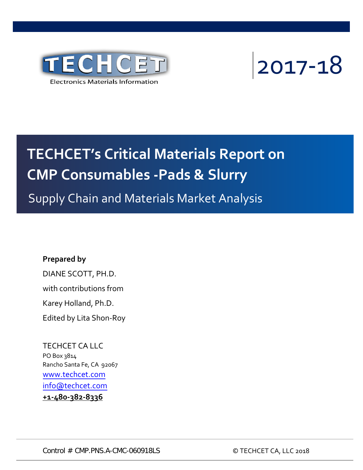

2017-18

# **TECHCET's Critical Materials Report on CMP Consumables -Pads & Slurry**

Supply Chain and Materials Market Analysis

#### **Prepared by**

DIANE SCOTT, PH.D. with contributions from Karey Holland, Ph.D. Edited by Lita Shon-Roy

TECHCET CA LLC PO Box 3814 Rancho Santa Fe, CA 92067 [www.techcet.com](http://www.techcet.com/) [info@techcet.com](mailto:info@techcet.com) **+1-480-382-8336**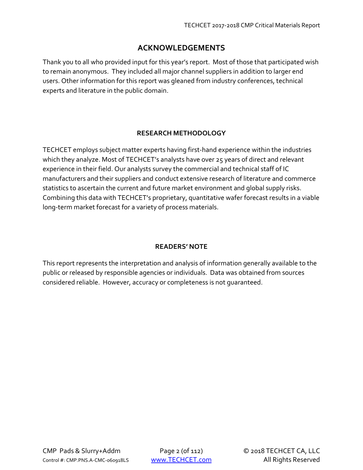#### **ACKNOWLEDGEMENTS**

Thank you to all who provided input for this year's report. Most of those that participated wish to remain anonymous. They included all major channel suppliers in addition to larger end users. Other information for this report was gleaned from industry conferences, technical experts and literature in the public domain.

#### **RESEARCH METHODOLOGY**

TECHCET employs subject matter experts having first-hand experience within the industries which they analyze. Most of TECHCET's analysts have over 25 years of direct and relevant experience in their field. Our analysts survey the commercial and technical staff of IC manufacturers and their suppliers and conduct extensive research of literature and commerce statistics to ascertain the current and future market environment and global supply risks. Combining this data with TECHCET's proprietary, quantitative wafer forecast results in a viable long-term market forecast for a variety of process materials.

#### **READERS' NOTE**

This report represents the interpretation and analysis of information generally available to the public or released by responsible agencies or individuals. Data was obtained from sources considered reliable. However, accuracy or completeness is not guaranteed.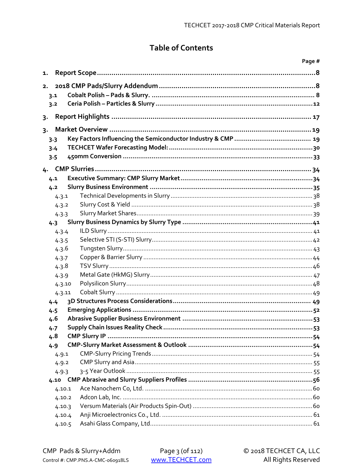## **Table of Contents**

|       |                |  | Page # |  |
|-------|----------------|--|--------|--|
| 1.    |                |  |        |  |
| 2.    |                |  |        |  |
|       | 3.1            |  |        |  |
|       | 3.2            |  |        |  |
| $3 -$ |                |  |        |  |
| $3 -$ |                |  |        |  |
|       | 3.3            |  |        |  |
|       | 3.4            |  |        |  |
|       | 3.5            |  |        |  |
|       |                |  |        |  |
| 4.    | 4.1            |  |        |  |
|       |                |  |        |  |
|       | 4.2            |  |        |  |
|       | 4.3.1<br>4.3.2 |  |        |  |
|       | 4.3.3          |  |        |  |
|       | 4.3            |  |        |  |
|       | 4.3.4          |  |        |  |
|       | 4.3.5          |  |        |  |
|       | 4.3.6          |  |        |  |
|       | 4.3.7          |  |        |  |
|       | 4.3.8          |  |        |  |
|       | 4.3.9          |  |        |  |
|       | 4.3.10         |  |        |  |
|       | 4.3.11         |  |        |  |
|       | 4.4            |  |        |  |
|       | 4.5            |  |        |  |
|       | 4.6            |  |        |  |
|       | 4.7            |  |        |  |
|       | 4.8            |  |        |  |
|       | 4.9            |  |        |  |
|       | 4.9.1          |  |        |  |
|       | 4.9.2          |  |        |  |
|       | 4.9.3          |  |        |  |
|       |                |  |        |  |
|       | 4.10.1         |  |        |  |
|       | 4.10.2         |  |        |  |
|       | 4.10.3         |  |        |  |
|       | 4.10.4         |  |        |  |
|       | 4.10.5         |  |        |  |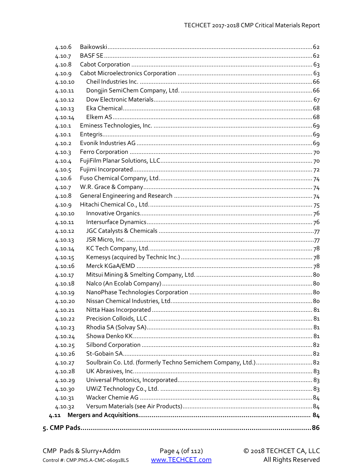| 4.10.6  |  |  |  |  |  |
|---------|--|--|--|--|--|
| 4.10.7  |  |  |  |  |  |
| 4.10.8  |  |  |  |  |  |
| 4.10.9  |  |  |  |  |  |
| 4.10.10 |  |  |  |  |  |
| 4.10.11 |  |  |  |  |  |
| 4.10.12 |  |  |  |  |  |
| 4.10.13 |  |  |  |  |  |
| 4.10.14 |  |  |  |  |  |
| 4.10.1  |  |  |  |  |  |
| 4.10.1  |  |  |  |  |  |
| 4.10.2  |  |  |  |  |  |
| 4.10.3  |  |  |  |  |  |
| 4.10.4  |  |  |  |  |  |
| 4.10.5  |  |  |  |  |  |
| 4.10.6  |  |  |  |  |  |
| 4.10.7  |  |  |  |  |  |
| 4.10.8  |  |  |  |  |  |
| 4.10.9  |  |  |  |  |  |
| 4.10.10 |  |  |  |  |  |
| 4.10.11 |  |  |  |  |  |
| 4.10.12 |  |  |  |  |  |
| 4.10.13 |  |  |  |  |  |
| 4.10.14 |  |  |  |  |  |
| 4.10.15 |  |  |  |  |  |
| 4.10.16 |  |  |  |  |  |
| 4.10.17 |  |  |  |  |  |
| 4.10.18 |  |  |  |  |  |
| 4.10.19 |  |  |  |  |  |
| 4.10.20 |  |  |  |  |  |
| 4.10.21 |  |  |  |  |  |
| 4.10.22 |  |  |  |  |  |
| 4.10.23 |  |  |  |  |  |
| 4.10.24 |  |  |  |  |  |
| 4.10.25 |  |  |  |  |  |
| 4.10.26 |  |  |  |  |  |
| 4.10.27 |  |  |  |  |  |
| 4.10.28 |  |  |  |  |  |
| 4.10.29 |  |  |  |  |  |
| 4.10.30 |  |  |  |  |  |
| 4.10.31 |  |  |  |  |  |
| 4.10.32 |  |  |  |  |  |
| 4.11    |  |  |  |  |  |
|         |  |  |  |  |  |
|         |  |  |  |  |  |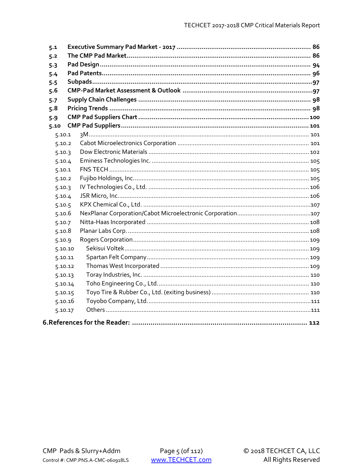| 5.1     |  |  |
|---------|--|--|
| 5.2     |  |  |
| 5.3     |  |  |
| 5.4     |  |  |
| 5.5     |  |  |
| 5.6     |  |  |
| 5.7     |  |  |
| 5.8     |  |  |
| 5.9     |  |  |
| 5.10    |  |  |
| 5.10.1  |  |  |
| 5.10.2  |  |  |
| 5.10.3  |  |  |
| 5.10.4  |  |  |
| 5.10.1  |  |  |
| 5.10.2  |  |  |
| 5.10.3  |  |  |
| 5.10.4  |  |  |
| 5.10.5  |  |  |
| 5.10.6  |  |  |
| 5.10.7  |  |  |
| 5.10.8  |  |  |
| 5.10.9  |  |  |
| 5.10.10 |  |  |
| 5.10.11 |  |  |
| 5.10.12 |  |  |
| 5.10.13 |  |  |
| 5.10.14 |  |  |
| 5.10.15 |  |  |
| 5.10.16 |  |  |
| 5.10.17 |  |  |
|         |  |  |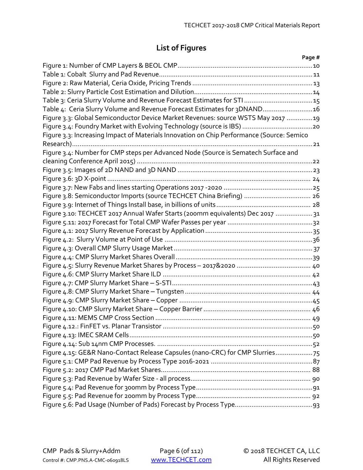# **List of Figures**

|                                                                                           | Page # |
|-------------------------------------------------------------------------------------------|--------|
|                                                                                           |        |
|                                                                                           |        |
|                                                                                           |        |
|                                                                                           |        |
|                                                                                           |        |
| Table 4: Ceria Slurry Volume and Revenue Forecast Estimates for 3DNAND 16                 |        |
| Figure 3.3: Global Semiconductor Device Market Revenues: source WSTS May 2017 19          |        |
|                                                                                           |        |
| Figure 3.3: Increasing Impact of Materials Innovation on Chip Performance (Source: Semico |        |
|                                                                                           |        |
| Figure 3.4: Number for CMP steps per Advanced Node (Source is Sematech Surface and        |        |
|                                                                                           |        |
|                                                                                           |        |
|                                                                                           |        |
|                                                                                           |        |
| Figure 3.8: Semiconductor Imports (source TECHCET China Briefing)  26                     |        |
|                                                                                           |        |
| Figure 3.10: TECHCET 2017 Annual Wafer Starts (200mm equivalents) Dec 2017  31            |        |
|                                                                                           |        |
|                                                                                           |        |
|                                                                                           |        |
|                                                                                           |        |
|                                                                                           |        |
|                                                                                           |        |
|                                                                                           |        |
|                                                                                           |        |
|                                                                                           |        |
|                                                                                           |        |
|                                                                                           |        |
|                                                                                           |        |
|                                                                                           |        |
|                                                                                           |        |
|                                                                                           |        |
| Figure 4.15: GE&R Nano-Contact Release Capsules (nano-CRC) for CMP Slurries75             |        |
|                                                                                           |        |
|                                                                                           |        |
|                                                                                           |        |
|                                                                                           |        |
|                                                                                           |        |
|                                                                                           |        |